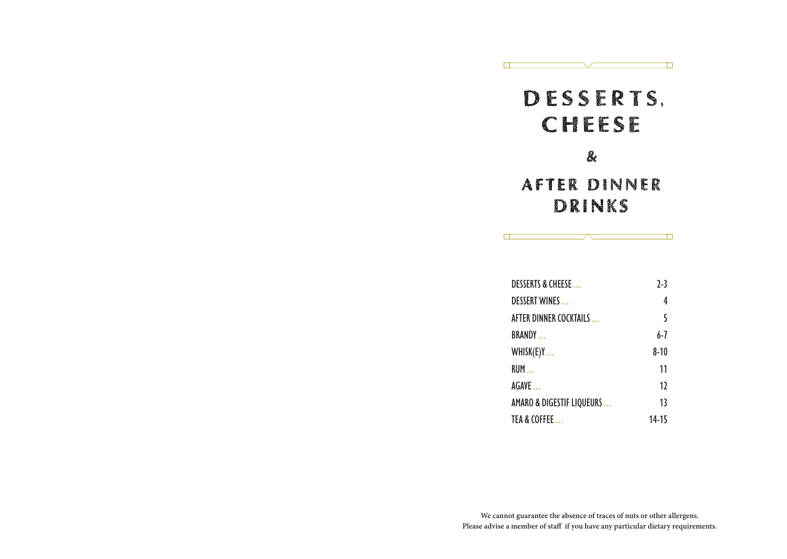# **DESSERTS.** CHEESE

 $\blacksquare$ 

 $\Box$ 

 $\Box$ 

 $\Box$ 

### $\mathbf{\&}$

## **AFTER DINNER** DRINKS

| <b>DESSERTS &amp; CHEESE</b>         | $7-3$    |
|--------------------------------------|----------|
| <b>DESSERT WINES</b>                 | 4        |
| AFTER DINNER COCKTAILS               | 5        |
| <b>BRANDY</b>                        | 6-7      |
| WHISK(E)Y                            | $8 - 10$ |
| <b>RUM</b>                           | 11       |
| AGAVE                                | 17       |
| <b>AMARO &amp; DIGESTIF LIQUEURS</b> | 13       |
| TEA & COFFEE                         | 14-15    |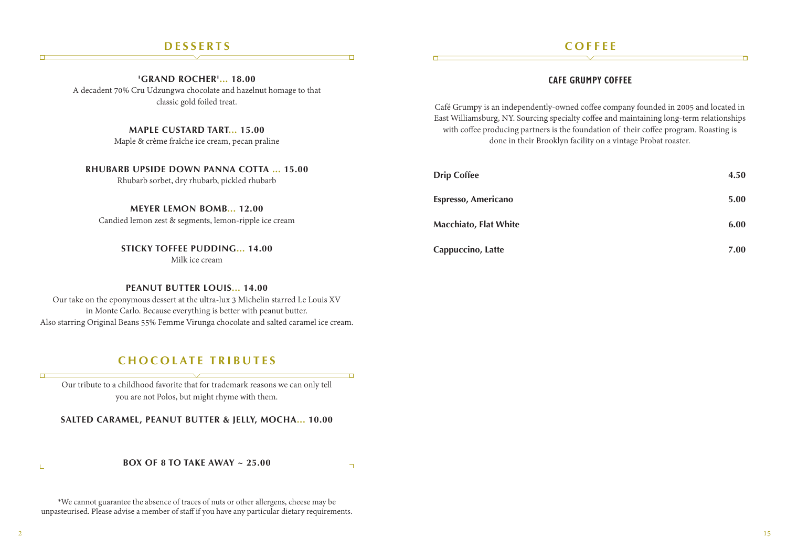#### **DESSERTS**

#### **COFFEE**

#### **CAFE GRUMPY COFFEE**

Café Grumpy is an independently-owned coffee company founded in 2005 and located in East Williamsburg, NY. Sourcing specialty coffee and maintaining long-term relationships with coffee producing partners is the foundation of their coffee program. Roasting is done in their Brooklyn facility on a vintage Probat roaster.

| UBARB UPSIDE DOWN PANNA COLIA  15.00<br>Rhubarb sorbet, dry rhubarb, pickled rhubarb | <b>Drip Coffee</b>           | 4.50 |
|--------------------------------------------------------------------------------------|------------------------------|------|
| <b>MEYER LEMON BOMB 12.00</b>                                                        | Espresso, Americano          | 5.00 |
| Candied lemon zest & segments, lemon-ripple ice cream                                | <b>Macchiato, Flat White</b> | 6.00 |
| <b>STICKY TOFFEE PUDDING 14.00</b>                                                   | Cappuccino, Latte            | 7.00 |

**'GRAND ROCHER'... 18.00** A decadent 70% Cru Udzungwa chocolate and hazelnut homage to that classic gold foiled treat.

**MAPLE CUSTARD TART... 15.00**

Maple & crème fraîche ice cream, pecan praline

**RHUBARB UPSIDE DOWN PANNA** 

**STICKY TOFFEE PUDDING... 14.00** Milk ice cream

#### **PEANUT BUTTER LOUIS... 14.00**

Our take on the eponymous dessert at the ultra-lux 3 Michelin starred Le Louis XV in Monte Carlo. Because everything is better with peanut butter. Also starring Original Beans 55% Femme Virunga chocolate and salted caramel ice cream.

#### **CHOCOLATE TRIBUTES**

Our tribute to a childhood favorite that for trademark reasons we can only tell you are not Polos, but might rhyme with them.

**SALTED CARAMEL, PEANUT BUTTER & JELLY, MOCHA... 10.00**

#### **BOX OF 8 TO TAKE AWAY ~ 25.00**

Ŧ

 $\overline{\phantom{0}}$ 

\*We cannot guarantee the absence of traces of nuts or other allergens, cheese may be unpasteurised. Please advise a member of staff if you have any particular dietary requirements.

 $\Box$ 

 $\Box$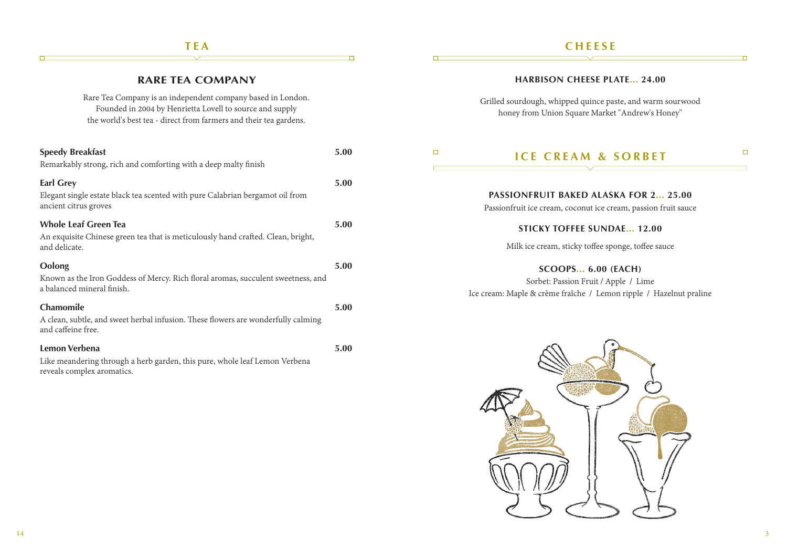### **TEA**

**RARE TEA COMPANY**

#### **CHEESE**

**HARBISON CHEESE PLATE... 24.00**

| Rare Tea Company is an independent company based in London.<br>Founded in 2004 by Henrietta Lovell to source and supply<br>the world's best tea - direct from farmers and their tea gardens. |      | Grilled sourdough, whipped quince paste, and warm sourwood<br>honey from Union Square Market "Andrew's Honey"                           |
|----------------------------------------------------------------------------------------------------------------------------------------------------------------------------------------------|------|-----------------------------------------------------------------------------------------------------------------------------------------|
| <b>Speedy Breakfast</b><br>Remarkably strong, rich and comforting with a deep malty finish                                                                                                   | 5.00 | $\Box$<br><b>ICE CREAM &amp; SORBET</b>                                                                                                 |
| <b>Earl Grey</b><br>Elegant single estate black tea scented with pure Calabrian bergamot oil from<br>ancient citrus groves                                                                   | 5.00 | <b>PASSIONFRUIT BAKED ALASKA FOR 2 25.00</b><br>Passionfruit ice cream, coconut ice cream, passion fruit sauce                          |
| <b>Whole Leaf Green Tea</b><br>An exquisite Chinese green tea that is meticulously hand crafted. Clean, bright,<br>and delicate.                                                             | 5.00 | <b>STICKY TOFFEE SUNDAE 12.00</b><br>Milk ice cream, sticky toffee sponge, toffee sauce                                                 |
| Oolong<br>Known as the Iron Goddess of Mercy. Rich floral aromas, succulent sweetness, and<br>a balanced mineral finish.                                                                     | 5.00 | <b>SCOOPS 6.00 (EACH)</b><br>Sorbet: Passion Fruit / Apple / Lime<br>Ice cream: Maple & crème fraîche / Lemon ripple / Hazelnut praline |
| <b>Chamomile</b><br>A clean, subtle, and sweet herbal infusion. These flowers are wonderfully calming<br>and caffeine free.                                                                  | 5.00 |                                                                                                                                         |
| Lemon Verbena<br>Like meandering through a herb garden, this pure, whole leaf Lemon Verbena<br>reveals complex aromatics.                                                                    | 5.00 |                                                                                                                                         |

D

 $\Box$ 



 $\Box$ 

n

 $\Box$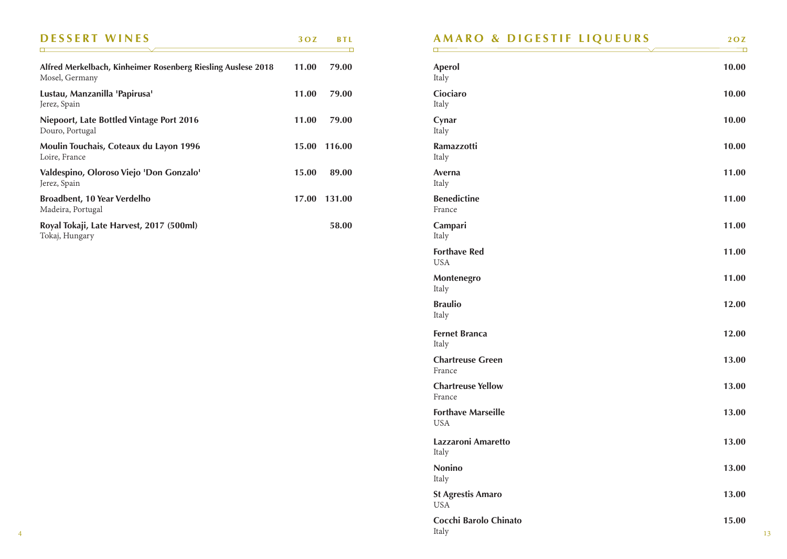| <b>DESSERT WINES</b>                                                           | 30Z   | <b>BTL</b> |
|--------------------------------------------------------------------------------|-------|------------|
| Alfred Merkelbach, Kinheimer Rosenberg Riesling Auslese 2018<br>Mosel, Germany | 11.00 | 79.00      |
| Lustau, Manzanilla 'Papirusa'<br>Jerez, Spain                                  | 11.00 | 79.00      |
| Niepoort, Late Bottled Vintage Port 2016<br>Douro, Portugal                    | 11.00 | 79.00      |
| Moulin Touchais, Coteaux du Layon 1996<br>Loire, France                        | 15.00 | 116.00     |
| Valdespino, Oloroso Viejo 'Don Gonzalo'<br>Jerez, Spain                        | 15.00 | 89.00      |
| <b>Broadbent, 10 Year Verdelho</b><br>Madeira, Portugal                        | 17.00 | 131.00     |
| Royal Tokaji, Late Harvest, 2017 (500ml)<br>Tokaj, Hungary                     |       | 58.00      |

|  |  |  |  | AMARO & DIGESTIF LIQUEURS |  |
|--|--|--|--|---------------------------|--|
|--|--|--|--|---------------------------|--|

| <b>Aperol</b><br>Italy                  | 10.00 |
|-----------------------------------------|-------|
| Ciociaro<br>Italy                       | 10.00 |
| Cynar<br>Italy                          | 10.00 |
| <b>Ramazzotti</b><br>Italy              | 10.00 |
| Averna<br>Italy                         | 11.00 |
| <b>Benedictine</b><br>France            | 11.00 |
| Campari<br>Italy                        | 11.00 |
| <b>Forthave Red</b><br><b>USA</b>       | 11.00 |
| Montenegro<br>Italy                     | 11.00 |
| <b>Braulio</b><br>Italy                 | 12.00 |
| <b>Fernet Branca</b><br>Italy           | 12.00 |
| <b>Chartreuse Green</b><br>France       | 13.00 |
| <b>Chartreuse Yellow</b><br>France      | 13.00 |
| <b>Forthave Marseille</b><br><b>USA</b> | 13.00 |
| Lazzaroni Amaretto<br>Italy             | 13.00 |
| <b>Nonino</b><br>Italy                  | 13.00 |
| <b>St Agrestis Amaro</b><br><b>USA</b>  | 13.00 |
| Cocchi Barolo Chinato                   | 15.00 |

Italy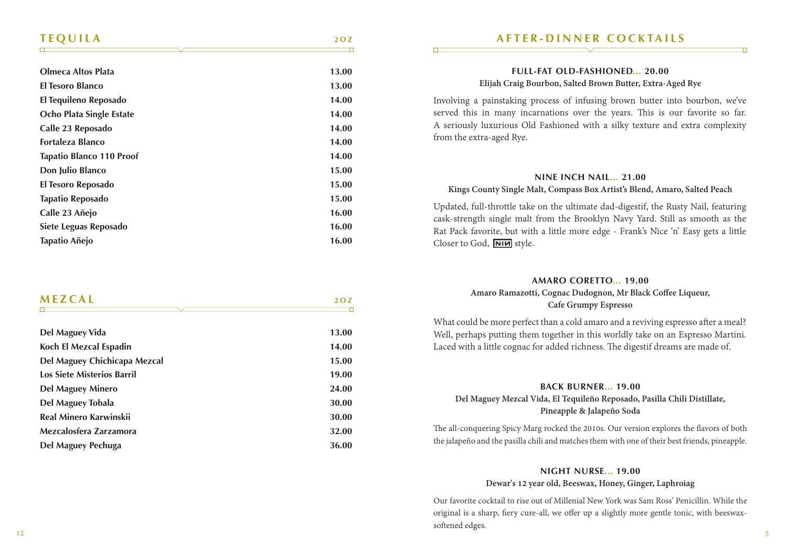#### **TEQUILA 2OZ**

| <b>Olmeca Altos Plata</b>       | 13.00 |
|---------------------------------|-------|
| El Tesoro Blanco                | 13.00 |
| El Tequileno Reposado           | 14.00 |
| Ocho Plata Single Estate        | 14.00 |
| Calle 23 Reposado               | 14.00 |
| Fortaleza Blanco                | 14.00 |
| <b>Tapatio Blanco 110 Proof</b> | 14.00 |
| Don Julio Blanco                | 15.00 |
| El Tesoro Reposado              | 15.00 |
| Tapatio Reposado                | 15.00 |
| Calle 23 Añejo                  | 16.00 |
| Siete Leguas Reposado           | 16.00 |
| Tapatio Añejo                   | 16.00 |
|                                 |       |

| <b>MEZCAL</b>   | Ω7    |
|-----------------|-------|
|                 |       |
| Del Maguey Vida | 13.00 |

| Koch El Mezcal Espadin            | 14.00 |
|-----------------------------------|-------|
| Del Maguey Chichicapa Mezcal      | 15.00 |
| <b>Los Siete Misterios Barril</b> | 19.00 |
| Del Maguey Minero                 | 24.00 |
| Del Maguey Tobala                 | 30.00 |
| Real Minero Karwinskii            | 30.00 |
| Mezcalosfera Zarzamora            | 32.00 |
| Del Maguey Pechuga                | 36.00 |

#### **AFTER-DINNER COCKTAILS**

#### **FULL-FAT OLD-FASHIONED... 20.00**

#### **Elijah Craig Bourbon, Salted Brown Butter, Extra-Aged Rye**

Involving a painstaking process of infusing brown butter into bourbon, we've served this in many incarnations over the years. This is our favorite so far. A seriously luxurious Old Fashioned with a silky texture and extra complexity from the extra-aged Rye.

#### **NINE INCH NAIL... 21.00**

#### **Kings County Single Malt, Compass Box Artist's Blend, Amaro, Salted Peach**

Updated, full-throttle take on the ultimate dad-digestif, the Rusty Nail, featuring cask-strength single malt from the Brooklyn Navy Yard. Still as smooth as the Rat Pack favorite, but with a little more edge - Frank's Nice 'n' Easy gets a little Closer to God, NIM style.

#### **AMARO CORETTO... 19.00**

#### **Amaro Ramazotti, Cognac Dudognon, Mr Black Coffee Liqueur, Cafe Grumpy Espresso**

What could be more perfect than a cold amaro and a reviving espresso after a meal? Well, perhaps putting them together in this worldly take on an Espresso Martini. Laced with a little cognac for added richness. The digestif dreams are made of.

#### **BACK BURNER... 19.00**

#### **Del Maguey Mezcal Vida, El Tequileño Reposado, Pasilla Chili Distillate, Pineapple & Jalapeño Soda**

The all-conquering Spicy Marg rocked the 2010s. Our version explores the flavors of both the jalapeño and the pasilla chili and matches them with one of their best friends, pineapple.

#### **NIGHT NURS E... 19.00 Dewar's 12 year old, Beeswax, Honey, Ginger, Laphroiag**

Our favorite cocktail to rise out of Millenial New York was Sam Ross' Penicillin. While the original is a sharp, fiery cure-all, we offer up a slightly more gentle tonic, with beeswaxsoftened edges.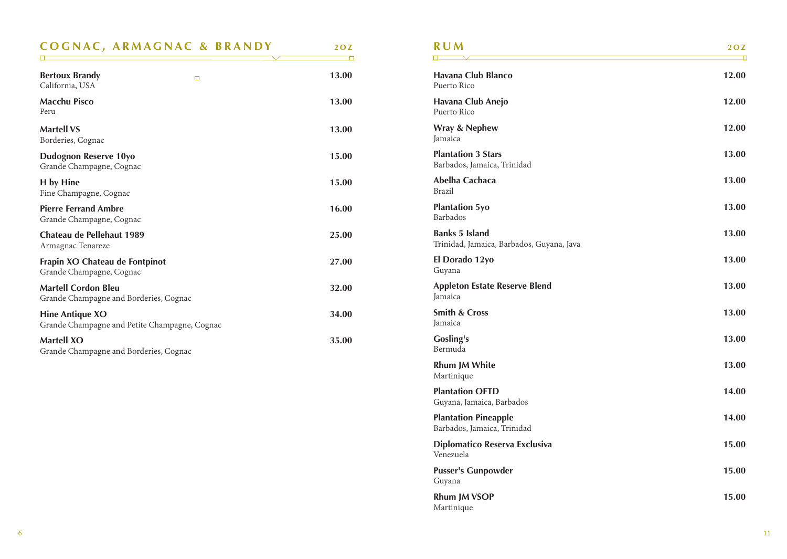| <b>COGNAC, ARMAGNAC &amp; BRANDY</b>                                    | 20Z   |
|-------------------------------------------------------------------------|-------|
|                                                                         |       |
| <b>Bertoux Brandy</b><br>$\Box$<br>California, USA                      | 13.00 |
| <b>Macchu Pisco</b><br>Peru                                             | 13.00 |
| <b>Martell VS</b><br>Borderies, Cognac                                  | 13.00 |
| Dudognon Reserve 10yo<br>Grande Champagne, Cognac                       | 15.00 |
| H by Hine<br>Fine Champagne, Cognac                                     | 15.00 |
| <b>Pierre Ferrand Ambre</b><br>Grande Champagne, Cognac                 | 16.00 |
| Chateau de Pellehaut 1989<br>Armagnac Tenareze                          | 25.00 |
| Frapin XO Chateau de Fontpinot<br>Grande Champagne, Cognac              | 27.00 |
| <b>Martell Cordon Bleu</b><br>Grande Champagne and Borderies, Cognac    | 32.00 |
| <b>Hine Antique XO</b><br>Grande Champagne and Petite Champagne, Cognac | 34.00 |
| <b>Martell XO</b><br>Grande Champagne and Borderies, Cognac             | 35.00 |

| R U M                                                              | 20Z<br>□ |
|--------------------------------------------------------------------|----------|
| Havana Club Blanco<br>Puerto Rico                                  | 12.00    |
| Havana Club Anejo<br>Puerto Rico                                   | 12.00    |
| Wray & Nephew<br>Jamaica                                           | 12.00    |
| <b>Plantation 3 Stars</b><br>Barbados, Jamaica, Trinidad           | 13.00    |
| Abelha Cachaca<br>Brazil                                           | 13.00    |
| <b>Plantation 5yo</b><br>Barbados                                  | 13.00    |
| <b>Banks 5 Island</b><br>Trinidad, Jamaica, Barbados, Guyana, Java | 13.00    |
| El Dorado 12yo<br>Guyana                                           | 13.00    |
| <b>Appleton Estate Reserve Blend</b><br>Jamaica                    | 13.00    |
| <b>Smith &amp; Cross</b><br>Jamaica                                | 13.00    |
| Gosling's<br>Bermuda                                               | 13.00    |
| Rhum JM White<br>Martinique                                        | 13.00    |
| <b>Plantation OFTD</b><br>Guyana, Jamaica, Barbados                | 14.00    |
| <b>Plantation Pineapple</b><br>Barbados, Jamaica, Trinidad         | 14.00    |
| Diplomatico Reserva Exclusiva<br>Venezuela                         | 15.00    |
|                                                                    |          |

| <b>Pusser's Gunpowder</b> | 15.00 |
|---------------------------|-------|
| Guyana                    |       |
| <b>Rhum JM VSOP</b>       | 15.00 |
| Martinique                |       |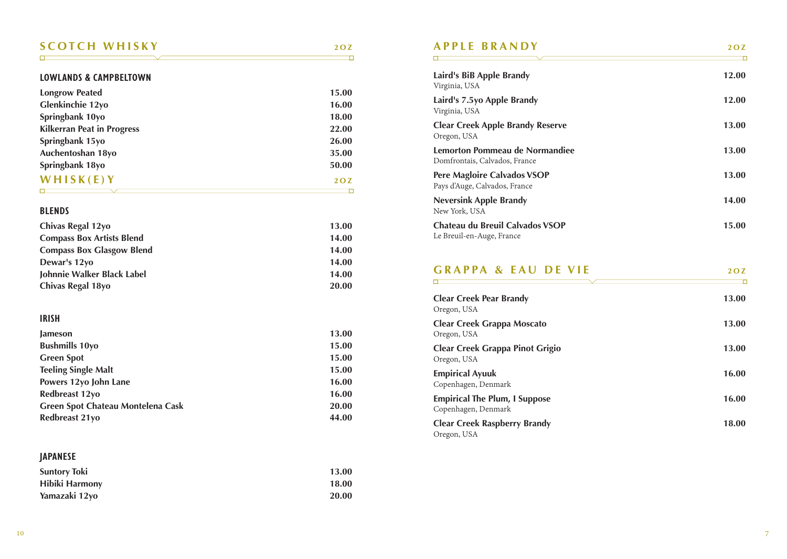### **SCOTCH WHISKY 2OZ**

#### **LOWLANDS & CAMPBELTOWN**

| <b>Longrow Peated</b>             | 15.00 |
|-----------------------------------|-------|
| Glenkinchie 12yo                  | 16.00 |
| Springbank 10yo                   | 18.00 |
| <b>Kilkerran Peat in Progress</b> | 22.00 |
| Springbank 15yo                   | 26.00 |
| Auchentoshan 18yo                 | 35.00 |
| Springbank 18yo                   | 50.00 |
| WHISK(E)Y                         | 20Z   |

#### **BLENDS**

| Chivas Regal 12yo                | 13.00 |
|----------------------------------|-------|
| <b>Compass Box Artists Blend</b> | 14.00 |
| <b>Compass Box Glasgow Blend</b> | 14.00 |
| Dewar's 12yo                     | 14.00 |
| Johnnie Walker Black Label       | 14.00 |
| Chivas Regal 18yo                | 20.00 |

#### **IRISH**

| <b>Jameson</b>                    | 13.00 |
|-----------------------------------|-------|
| <b>Bushmills 10yo</b>             | 15.00 |
| <b>Green Spot</b>                 | 15.00 |
| <b>Teeling Single Malt</b>        | 15.00 |
| Powers 12yo John Lane             | 16.00 |
| Redbreast 12yo                    | 16.00 |
| Green Spot Chateau Montelena Cask | 20.00 |
| Redbreast 21yo                    | 44.00 |

#### **JAPANESE**

| <b>Suntory Toki</b> | 13.00 |
|---------------------|-------|
| Hibiki Harmony      | 18.00 |
| Yamazaki 12yo       | 20.00 |

### **APPLE BRANDY 2OZ**

| Laird's BiB Apple Brandy<br>Virginia, USA                       | 12.00 |
|-----------------------------------------------------------------|-------|
| Laird's 7.5yo Apple Brandy<br>Virginia, USA                     | 12.00 |
| <b>Clear Creek Apple Brandy Reserve</b><br>Oregon, USA          | 13.00 |
| Lemorton Pommeau de Normandiee<br>Domfrontais, Calvados, France | 13.00 |
| Pere Magloire Calvados VSOP<br>Pays d'Auge, Calvados, France    | 13.00 |
| <b>Neversink Apple Brandy</b><br>New York, USA                  | 14.00 |
| Chateau du Breuil Calvados VSOP<br>Le Breuil-en-Auge, France    | 15.00 |
|                                                                 |       |

#### **GRAPPA & EAU DE VIE** 20Z  $\overline{\phantom{0}}$ <u> El propio de la contrada de la contrada de la contrada de la contrada de la contrada de la contrada de la con</u>

| <b>Clear Creek Pear Brandy</b><br>Oregon, USA               | 13.00 |
|-------------------------------------------------------------|-------|
| Clear Creek Grappa Moscato<br>Oregon, USA                   | 13.00 |
| <b>Clear Creek Grappa Pinot Grigio</b><br>Oregon, USA       | 13.00 |
| <b>Empirical Ayuuk</b><br>Copenhagen, Denmark               | 16.00 |
| <b>Empirical The Plum, I Suppose</b><br>Copenhagen, Denmark | 16.00 |
| <b>Clear Creek Raspberry Brandy</b><br>Oregon, USA          | 18.00 |